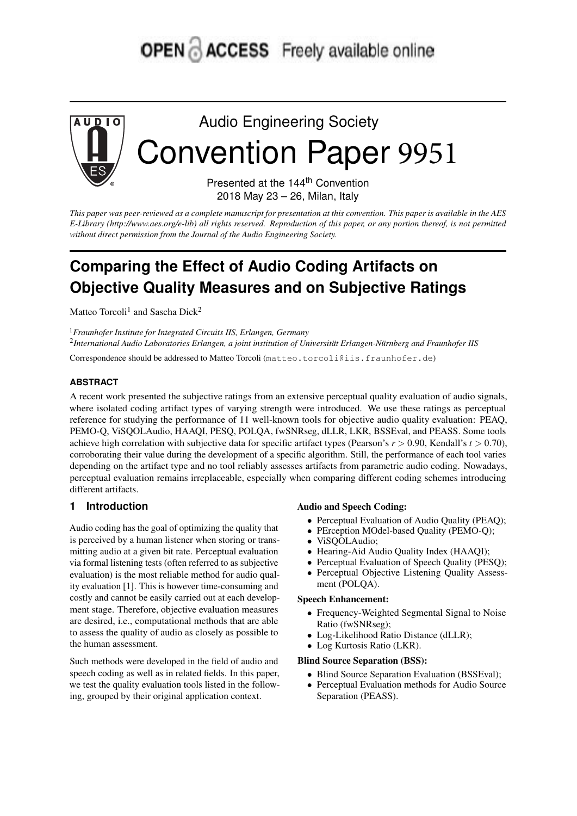# **OPEN & ACCESS** Freely available online



Audio Engineering Society Convention Paper 9951

> Presented at the 144<sup>th</sup> Convention 2018 May 23 – 26, Milan, Italy

This paper was peer-reviewed as a complete manuscript for presentation at this convention. This paper is available in the AES E-Library (http://www.aes.org/e-lib) all rights reserved. Reproduction of this paper, or any portion thereof, is not permitted *without direct permission from the Journal of the Audio Engineering Society.*

# **Comparing the Effect of Audio Coding Artifacts on Objective Quality Measures and on Subjective Ratings**

Matteo Torcoli<sup>1</sup> and Sascha Dick<sup>2</sup>

<sup>1</sup>*Fraunhofer Institute for Integrated Circuits IIS, Erlangen, Germany* 2 *International Audio Laboratories Erlangen, a joint institution of Universität Erlangen-Nürnberg and Fraunhofer IIS*

Correspondence should be addressed to Matteo Torcoli (matteo.torcoli@iis.fraunhofer.de)

# **ABSTRACT**

A recent work presented the subjective ratings from an extensive perceptual quality evaluation of audio signals, where isolated coding artifact types of varying strength were introduced. We use these ratings as perceptual reference for studying the performance of 11 well-known tools for objective audio quality evaluation: PEAQ, PEMO-Q, ViSQOLAudio, HAAQI, PESQ, POLQA, fwSNRseg, dLLR, LKR, BSSEval, and PEASS. Some tools achieve high correlation with subjective data for specific artifact types (Pearson's *r* > 0.90, Kendall's *t* > 0.70), corroborating their value during the development of a specific algorithm. Still, the performance of each tool varies depending on the artifact type and no tool reliably assesses artifacts from parametric audio coding. Nowadays, perceptual evaluation remains irreplaceable, especially when comparing different coding schemes introducing different artifacts.

### **1 Introduction**

Audio coding has the goal of optimizing the quality that is perceived by a human listener when storing or transmitting audio at a given bit rate. Perceptual evaluation via formal listening tests (often referred to as subjective evaluation) is the most reliable method for audio quality evaluation [1]. This is however time-consuming and costly and cannot be easily carried out at each development stage. Therefore, objective evaluation measures are desired, i.e., computational methods that are able to assess the quality of audio as closely as possible to the human assessment.

Such methods were developed in the field of audio and speech coding as well as in related fields. In this paper, we test the quality evaluation tools listed in the following, grouped by their original application context.

#### Audio and Speech Coding:

- Perceptual Evaluation of Audio Quality (PEAQ);
- PErception MOdel-based Quality (PEMO-Q);
- ViSQOLAudio;
- Hearing-Aid Audio Quality Index (HAAQI);
- Perceptual Evaluation of Speech Quality (PESQ);
- Perceptual Objective Listening Quality Assessment (POLQA).

#### Speech Enhancement:

- Frequency-Weighted Segmental Signal to Noise Ratio (fwSNRseg);
- Log-Likelihood Ratio Distance (dLLR);
- Log Kurtosis Ratio (LKR).

# Blind Source Separation (BSS):

- Blind Source Separation Evaluation (BSSEval);
- Perceptual Evaluation methods for Audio Source Separation (PEASS).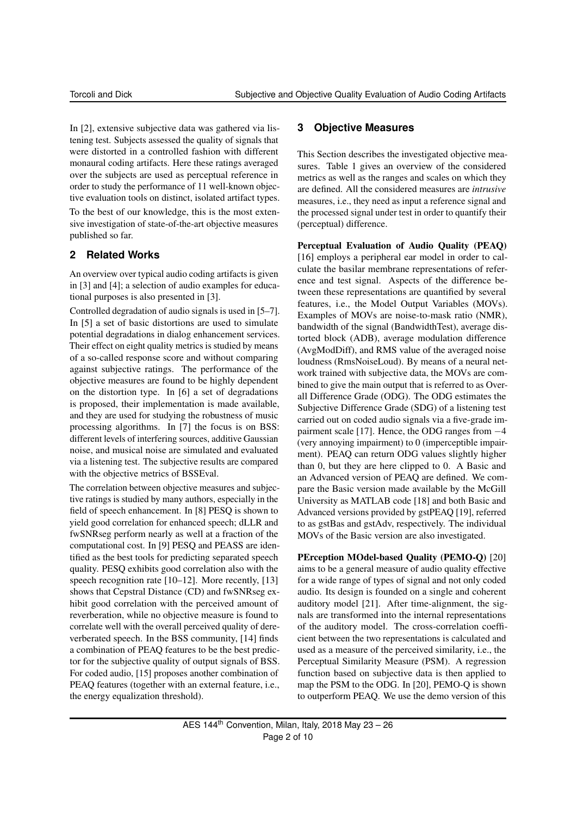In [2], extensive subjective data was gathered via listening test. Subjects assessed the quality of signals that were distorted in a controlled fashion with different monaural coding artifacts. Here these ratings averaged over the subjects are used as perceptual reference in order to study the performance of 11 well-known objective evaluation tools on distinct, isolated artifact types.

To the best of our knowledge, this is the most extensive investigation of state-of-the-art objective measures published so far.

# **2 Related Works**

An overview over typical audio coding artifacts is given in [3] and [4]; a selection of audio examples for educational purposes is also presented in [3].

Controlled degradation of audio signals is used in [5–7]. In [5] a set of basic distortions are used to simulate potential degradations in dialog enhancement services. Their effect on eight quality metrics is studied by means of a so-called response score and without comparing against subjective ratings. The performance of the objective measures are found to be highly dependent on the distortion type. In [6] a set of degradations is proposed, their implementation is made available, and they are used for studying the robustness of music processing algorithms. In [7] the focus is on BSS: different levels of interfering sources, additive Gaussian noise, and musical noise are simulated and evaluated via a listening test. The subjective results are compared with the objective metrics of BSSEval.

The correlation between objective measures and subjective ratings is studied by many authors, especially in the field of speech enhancement. In [8] PESQ is shown to yield good correlation for enhanced speech; dLLR and fwSNRseg perform nearly as well at a fraction of the computational cost. In [9] PESQ and PEASS are identified as the best tools for predicting separated speech quality. PESQ exhibits good correlation also with the speech recognition rate [10–12]. More recently, [13] shows that Cepstral Distance (CD) and fwSNRseg exhibit good correlation with the perceived amount of reverberation, while no objective measure is found to correlate well with the overall perceived quality of dereverberated speech. In the BSS community, [14] finds a combination of PEAQ features to be the best predictor for the subjective quality of output signals of BSS. For coded audio, [15] proposes another combination of PEAQ features (together with an external feature, i.e., the energy equalization threshold).

# **3 Objective Measures**

This Section describes the investigated objective measures. Table 1 gives an overview of the considered metrics as well as the ranges and scales on which they are defined. All the considered measures are *intrusive* measures, i.e., they need as input a reference signal and the processed signal under test in order to quantify their (perceptual) difference.

Perceptual Evaluation of Audio Quality (PEAQ) [16] employs a peripheral ear model in order to calculate the basilar membrane representations of reference and test signal. Aspects of the difference between these representations are quantified by several features, i.e., the Model Output Variables (MOVs). Examples of MOVs are noise-to-mask ratio (NMR), bandwidth of the signal (BandwidthTest), average distorted block (ADB), average modulation difference (AvgModDiff), and RMS value of the averaged noise loudness (RmsNoiseLoud). By means of a neural network trained with subjective data, the MOVs are combined to give the main output that is referred to as Overall Difference Grade (ODG). The ODG estimates the Subjective Difference Grade (SDG) of a listening test carried out on coded audio signals via a five-grade impairment scale [17]. Hence, the ODG ranges from −4 (very annoying impairment) to 0 (imperceptible impairment). PEAQ can return ODG values slightly higher than 0, but they are here clipped to 0. A Basic and an Advanced version of PEAQ are defined. We compare the Basic version made available by the McGill University as MATLAB code [18] and both Basic and Advanced versions provided by gstPEAQ [19], referred to as gstBas and gstAdv, respectively. The individual MOVs of the Basic version are also investigated.

PErception MOdel-based Quality (PEMO-Q) [20] aims to be a general measure of audio quality effective for a wide range of types of signal and not only coded audio. Its design is founded on a single and coherent auditory model [21]. After time-alignment, the signals are transformed into the internal representations of the auditory model. The cross-correlation coefficient between the two representations is calculated and used as a measure of the perceived similarity, i.e., the Perceptual Similarity Measure (PSM). A regression function based on subjective data is then applied to map the PSM to the ODG. In [20], PEMO-Q is shown to outperform PEAQ. We use the demo version of this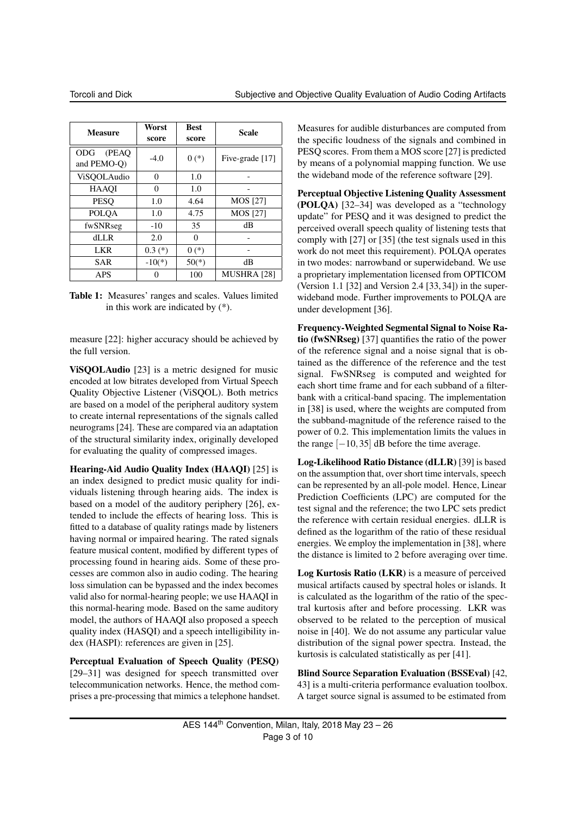| <b>Measure</b>                      | Worst<br>score | <b>Best</b><br>score | <b>Scale</b>       |
|-------------------------------------|----------------|----------------------|--------------------|
| (PEAO)<br><b>ODG</b><br>and PEMO-O) | $-4.0$         | $0(*)$               | Five-grade [17]    |
| ViSOOLAudio                         | $\Omega$       | 1.0                  |                    |
| <b>HAAOI</b>                        | 0              | 1.0                  |                    |
| <b>PESO</b>                         | 1.0            | 4.64                 | MOS [27]           |
| <b>POLQA</b>                        | 1.0            | 4.75                 | MOS [27]           |
| fwSNRseg                            | $-10$          | 35                   | dB                 |
| $d$ LLR                             | 2.0            | 0                    |                    |
| <b>LKR</b>                          | $0.3$ $(*)$    | $0(*)$               |                    |
| <b>SAR</b>                          | $-10(*)$       | $50(*)$              | dВ                 |
| <b>APS</b>                          |                | 100                  | <b>MUSHRA [28]</b> |

Table 1: Measures' ranges and scales. Values limited in this work are indicated by (\*).

measure [22]: higher accuracy should be achieved by the full version.

ViSQOLAudio [23] is a metric designed for music encoded at low bitrates developed from Virtual Speech Quality Objective Listener (ViSQOL). Both metrics are based on a model of the peripheral auditory system to create internal representations of the signals called neurograms [24]. These are compared via an adaptation of the structural similarity index, originally developed for evaluating the quality of compressed images.

Hearing-Aid Audio Quality Index (HAAQI) [25] is an index designed to predict music quality for individuals listening through hearing aids. The index is based on a model of the auditory periphery [26], extended to include the effects of hearing loss. This is fitted to a database of quality ratings made by listeners having normal or impaired hearing. The rated signals feature musical content, modified by different types of processing found in hearing aids. Some of these processes are common also in audio coding. The hearing loss simulation can be bypassed and the index becomes valid also for normal-hearing people; we use HAAQI in this normal-hearing mode. Based on the same auditory model, the authors of HAAQI also proposed a speech quality index (HASQI) and a speech intelligibility index (HASPI): references are given in [25].

Perceptual Evaluation of Speech Quality (PESQ) [29–31] was designed for speech transmitted over telecommunication networks. Hence, the method comprises a pre-processing that mimics a telephone handset.

Measures for audible disturbances are computed from the specific loudness of the signals and combined in PESQ scores. From them a MOS score [27] is predicted by means of a polynomial mapping function. We use the wideband mode of the reference software [29].

Perceptual Objective Listening Quality Assessment (POLQA) [32–34] was developed as a "technology update" for PESQ and it was designed to predict the perceived overall speech quality of listening tests that comply with [27] or [35] (the test signals used in this work do not meet this requirement). POLQA operates in two modes: narrowband or superwideband. We use a proprietary implementation licensed from OPTICOM (Version 1.1 [32] and Version 2.4 [33, 34]) in the superwideband mode. Further improvements to POLQA are under development [36].

Frequency-Weighted Segmental Signal to Noise Ratio (fwSNRseg) [37] quantifies the ratio of the power of the reference signal and a noise signal that is obtained as the difference of the reference and the test signal. FwSNRseg is computed and weighted for each short time frame and for each subband of a filterbank with a critical-band spacing. The implementation in [38] is used, where the weights are computed from the subband-magnitude of the reference raised to the power of 0.2. This implementation limits the values in the range  $[-10, 35]$  dB before the time average.

Log-Likelihood Ratio Distance (dLLR) [39] is based on the assumption that, over short time intervals, speech can be represented by an all-pole model. Hence, Linear Prediction Coefficients (LPC) are computed for the test signal and the reference; the two LPC sets predict the reference with certain residual energies. dLLR is defined as the logarithm of the ratio of these residual energies. We employ the implementation in [38], where the distance is limited to 2 before averaging over time.

Log Kurtosis Ratio (LKR) is a measure of perceived musical artifacts caused by spectral holes or islands. It is calculated as the logarithm of the ratio of the spectral kurtosis after and before processing. LKR was observed to be related to the perception of musical noise in [40]. We do not assume any particular value distribution of the signal power spectra. Instead, the kurtosis is calculated statistically as per [41].

Blind Source Separation Evaluation (BSSEval) [42, 43] is a multi-criteria performance evaluation toolbox. A target source signal is assumed to be estimated from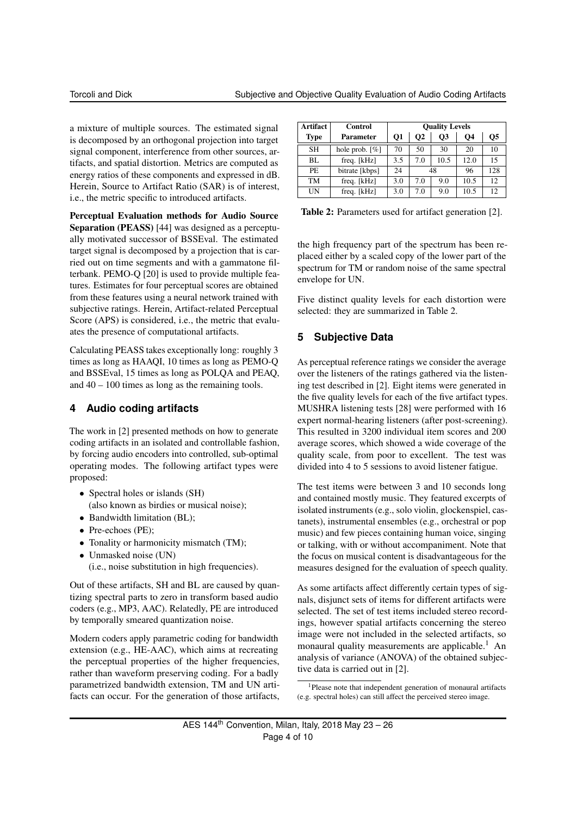a mixture of multiple sources. The estimated signal is decomposed by an orthogonal projection into target signal component, interference from other sources, artifacts, and spatial distortion. Metrics are computed as energy ratios of these components and expressed in dB. Herein, Source to Artifact Ratio (SAR) is of interest, i.e., the metric specific to introduced artifacts.

Perceptual Evaluation methods for Audio Source Separation (PEASS) [44] was designed as a perceptually motivated successor of BSSEval. The estimated target signal is decomposed by a projection that is carried out on time segments and with a gammatone filterbank. PEMO-Q [20] is used to provide multiple features. Estimates for four perceptual scores are obtained from these features using a neural network trained with subjective ratings. Herein, Artifact-related Perceptual Score (APS) is considered, i.e., the metric that evaluates the presence of computational artifacts.

Calculating PEASS takes exceptionally long: roughly 3 times as long as HAAQI, 10 times as long as PEMO-Q and BSSEval, 15 times as long as POLQA and PEAQ, and  $40 - 100$  times as long as the remaining tools.

## **4 Audio coding artifacts**

The work in [2] presented methods on how to generate coding artifacts in an isolated and controllable fashion, by forcing audio encoders into controlled, sub-optimal operating modes. The following artifact types were proposed:

- Spectral holes or islands (SH) (also known as birdies or musical noise);
- Bandwidth limitation (BL);
- Pre-echoes (PE);
- Tonality or harmonicity mismatch (TM);
- Unmasked noise (UN)
	- (i.e., noise substitution in high frequencies).

Out of these artifacts, SH and BL are caused by quantizing spectral parts to zero in transform based audio coders (e.g., MP3, AAC). Relatedly, PE are introduced by temporally smeared quantization noise.

Modern coders apply parametric coding for bandwidth extension (e.g., HE-AAC), which aims at recreating the perceptual properties of the higher frequencies, rather than waveform preserving coding. For a badly parametrized bandwidth extension, TM and UN artifacts can occur. For the generation of those artifacts,

| Artifact    | <b>Control</b>                | <b>Quality Levels</b> |     |           |           |     |
|-------------|-------------------------------|-----------------------|-----|-----------|-----------|-----|
| <b>Type</b> | Parameter                     | 01                    | O2  | <b>O3</b> | <b>O4</b> | Ο5  |
| <b>SH</b>   | hole prob. $\lceil \% \rceil$ | 70                    | 50  | 30        | 20        | 10  |
| BL          | freq. [kHz]                   | 3.5                   | 7.0 | 10.5      | 12.0      | 15  |
| PE.         | bitrate [kbps]                | 24                    | 48  |           | 96        | 128 |
| TM          | freq. [kHz]                   | 3.0                   | 7.0 | 9.0       | 10.5      | 12  |
| UN          | freq. [kHz]                   | 3.0                   | 7.0 | 9.0       | 10.5      | 12  |

Table 2: Parameters used for artifact generation [2].

the high frequency part of the spectrum has been replaced either by a scaled copy of the lower part of the spectrum for TM or random noise of the same spectral envelope for UN.

Five distinct quality levels for each distortion were selected: they are summarized in Table 2.

# **5 Subjective Data**

As perceptual reference ratings we consider the average over the listeners of the ratings gathered via the listening test described in [2]. Eight items were generated in the five quality levels for each of the five artifact types. MUSHRA listening tests [28] were performed with 16 expert normal-hearing listeners (after post-screening). This resulted in 3200 individual item scores and 200 average scores, which showed a wide coverage of the quality scale, from poor to excellent. The test was divided into 4 to 5 sessions to avoid listener fatigue.

The test items were between 3 and 10 seconds long and contained mostly music. They featured excerpts of isolated instruments (e.g., solo violin, glockenspiel, castanets), instrumental ensembles (e.g., orchestral or pop music) and few pieces containing human voice, singing or talking, with or without accompaniment. Note that the focus on musical content is disadvantageous for the measures designed for the evaluation of speech quality.

As some artifacts affect differently certain types of signals, disjunct sets of items for different artifacts were selected. The set of test items included stereo recordings, however spatial artifacts concerning the stereo image were not included in the selected artifacts, so monaural quality measurements are applicable.<sup>1</sup> An analysis of variance (ANOVA) of the obtained subjective data is carried out in [2].

<sup>1</sup>Please note that independent generation of monaural artifacts (e.g. spectral holes) can still affect the perceived stereo image.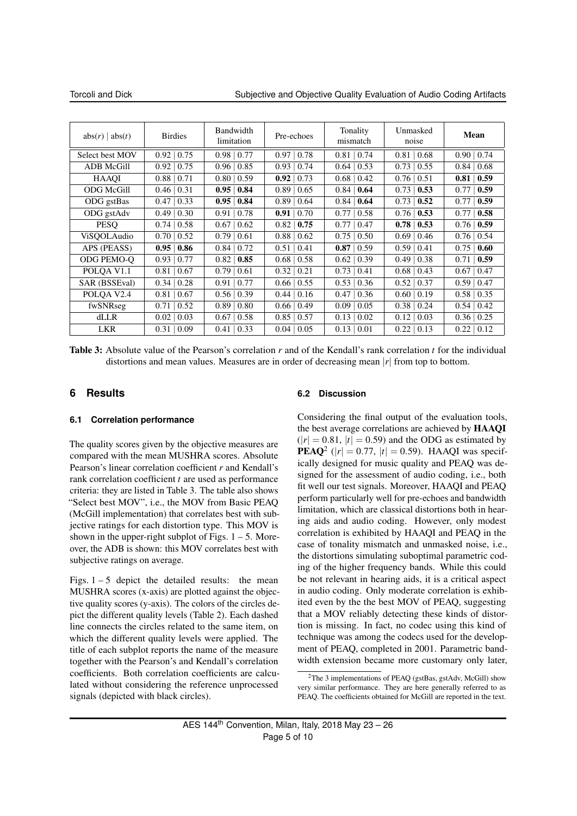Torcoli and Dick Subjective and Objective Quality Evaluation of Audio Coding Artifacts

| abs(r)   abs(t)        | <b>Birdies</b> | Bandwidth<br>limitation | Pre-echoes       | Tonality<br>mismatch | Unmasked<br>noise | Mean         |
|------------------------|----------------|-------------------------|------------------|----------------------|-------------------|--------------|
| Select best MOV        | 0.75<br>0.92   | $0.98 \mid 0.77$        | $0.97 \mid 0.78$ | 0.81<br>0.74         | 0.81<br>0.68      | 0.74<br>0.90 |
| <b>ADB</b> McGill      | 0.92<br>0.75   | $0.96 \mid 0.85$        | $0.93 \mid 0.74$ | 0.64<br>0.53         | $0.73 \mid 0.55$  | 0.84<br>0.68 |
| <b>HAAOI</b>           | 0.88<br>0.71   | $0.80 \mid 0.59$        | 0.92<br>0.73     | 0.68<br>0.42         | $0.76 \mid 0.51$  | 0.59<br>0.81 |
| <b>ODG McGill</b>      | 0.46<br>0.31   | $0.95 \mid 0.84$        | $0.89 \mid 0.65$ | 0.84<br>0.64         | 0.73<br>0.53      | 0.59<br>0.77 |
| ODG gstBas             | 0.47<br>0.33   | $0.95 \mid 0.84$        | 0.89<br>0.64     | 0.84<br>0.64         | 0.73<br>0.52      | 0.59<br>0.77 |
| ODG gstAdv             | 0.49<br>0.30   | $0.91 \mid 0.78$        | 0.91<br>0.70     | 0.77<br>0.58         | 0.53<br>0.76      | 0.58<br>0.77 |
| <b>PESO</b>            | 0.74<br>0.58   | $0.67 \mid 0.62$        | 0.82<br>0.75     | 0.77<br>0.47         | $0.78 \mid 0.53$  | 0.76   0.59  |
| ViSOOLAudio            | 0.70<br>0.52   | 0.79<br>$\vert 0.61$    | 0.88<br>0.62     | 0.75<br>0.50         | $0.69 \mid 0.46$  | 0.76<br>0.54 |
| APS (PEASS)            | 0.95<br>0.86   | $0.84 \mid 0.72$        | 0.51<br>0.41     | $0.87 \mid 0.59$     | $0.59 \mid 0.41$  | 0.75<br>0.60 |
| ODG PEMO-O             | 0.77<br>0.93   | $0.82 \mid 0.85$        | 0.68<br>0.58     | 0.62<br>0.39         | $0.49 \mid 0.38$  | 0.71<br>0.59 |
| POLQA V <sub>1.1</sub> | 0.81<br>0.67   | 0.79<br>0.61            | 0.32<br>0.21     | 0.73<br>0.41         | $0.68 \mid 0.43$  | 0.67<br>0.47 |
| SAR (BSSEval)          | 0.34<br>0.28   | 0.77<br>0.91            | $0.66 \mid 0.55$ | 0.53<br>0.36         | $0.52 \mid 0.37$  | 0.59<br>0.47 |
| POLQA V2.4             | 0.81<br>0.67   | 0.39<br>0.56            | 0.16<br>0.44     | 0.47<br>0.36         | 0.60<br>0.19      | 0.58<br>0.35 |
| fwSNRseg               | 0.71<br>0.52   | 0.89<br>0.80            | 0.66<br>0.49     | 0.09<br>0.05         | $0.38 \mid 0.24$  | 0.54<br>0.42 |
| dLLR                   | 0.02<br>0.03   | 0.58<br>0.67            | 0.85<br>0.57     | 0.13<br>0.02         | 0.12<br>0.03      | 0.36<br>0.25 |
| <b>LKR</b>             | 0.09<br>0.31   | 0.41<br>0.33            | 0.04<br>0.05     | 0.13<br>0.01         | 0.22<br>0.13      | 0.22<br>0.12 |

Table 3: Absolute value of the Pearson's correlation *r* and of the Kendall's rank correlation *t* for the individual distortions and mean values. Measures are in order of decreasing mean |*r*| from top to bottom.

#### **6 Results**

#### **6.1 Correlation performance**

The quality scores given by the objective measures are compared with the mean MUSHRA scores. Absolute Pearson's linear correlation coefficient *r* and Kendall's rank correlation coefficient *t* are used as performance criteria: they are listed in Table 3. The table also shows "Select best MOV", i.e., the MOV from Basic PEAQ (McGill implementation) that correlates best with subjective ratings for each distortion type. This MOV is shown in the upper-right subplot of Figs.  $1 - 5$ . Moreover, the ADB is shown: this MOV correlates best with subjective ratings on average.

Figs.  $1 - 5$  depict the detailed results: the mean MUSHRA scores (x-axis) are plotted against the objective quality scores (y-axis). The colors of the circles depict the different quality levels (Table 2). Each dashed line connects the circles related to the same item, on which the different quality levels were applied. The title of each subplot reports the name of the measure together with the Pearson's and Kendall's correlation coefficients. Both correlation coefficients are calculated without considering the reference unprocessed signals (depicted with black circles).

#### **6.2 Discussion**

Considering the final output of the evaluation tools, the best average correlations are achieved by HAAQI  $(|r| = 0.81, |t| = 0.59$  and the ODG as estimated by **PEAQ**<sup>2</sup> (| $r$ | = 0.77, | $t$ | = 0.59). HAAQI was specifically designed for music quality and PEAQ was designed for the assessment of audio coding, i.e., both fit well our test signals. Moreover, HAAQI and PEAQ perform particularly well for pre-echoes and bandwidth limitation, which are classical distortions both in hearing aids and audio coding. However, only modest correlation is exhibited by HAAQI and PEAQ in the case of tonality mismatch and unmasked noise, i.e., the distortions simulating suboptimal parametric coding of the higher frequency bands. While this could be not relevant in hearing aids, it is a critical aspect in audio coding. Only moderate correlation is exhibited even by the the best MOV of PEAQ, suggesting that a MOV reliably detecting these kinds of distortion is missing. In fact, no codec using this kind of technique was among the codecs used for the development of PEAQ, completed in 2001. Parametric bandwidth extension became more customary only later,

<sup>&</sup>lt;sup>2</sup>The 3 implementations of PEAQ (gstBas, gstAdv, McGill) show very similar performance. They are here generally referred to as PEAQ. The coefficients obtained for McGill are reported in the text.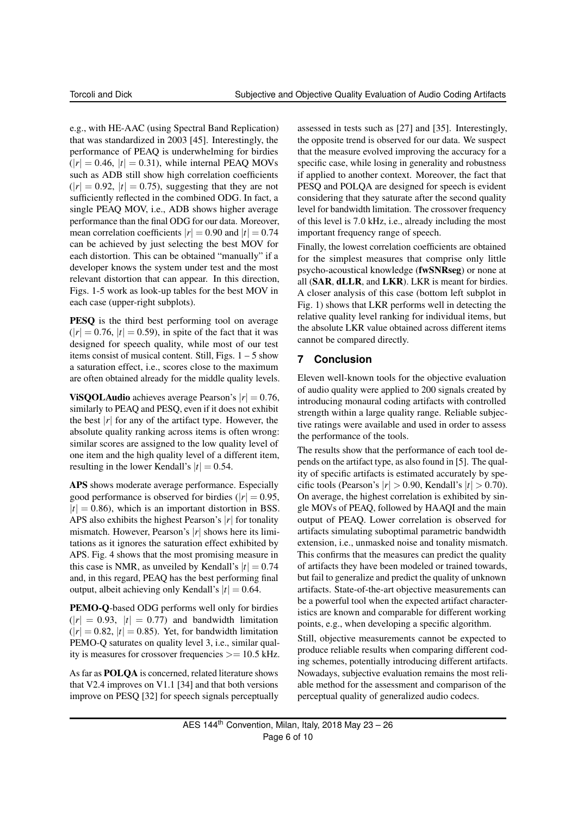e.g., with HE-AAC (using Spectral Band Replication) that was standardized in 2003 [45]. Interestingly, the performance of PEAQ is underwhelming for birdies  $(|r| = 0.46, |t| = 0.31)$ , while internal PEAQ MOVs such as ADB still show high correlation coefficients  $(|r| = 0.92, |t| = 0.75)$ , suggesting that they are not sufficiently reflected in the combined ODG. In fact, a single PEAQ MOV, i.e., ADB shows higher average performance than the final ODG for our data. Moreover, mean correlation coefficients  $|r| = 0.90$  and  $|t| = 0.74$ can be achieved by just selecting the best MOV for each distortion. This can be obtained "manually" if a developer knows the system under test and the most relevant distortion that can appear. In this direction, Figs. 1-5 work as look-up tables for the best MOV in each case (upper-right subplots).

PESQ is the third best performing tool on average  $(|r| = 0.76, |t| = 0.59)$ , in spite of the fact that it was designed for speech quality, while most of our test items consist of musical content. Still, Figs.  $1 - 5$  show a saturation effect, i.e., scores close to the maximum are often obtained already for the middle quality levels.

**ViSQOLAudio** achieves average Pearson's  $|r| = 0.76$ , similarly to PEAQ and PESQ, even if it does not exhibit the best  $|r|$  for any of the artifact type. However, the absolute quality ranking across items is often wrong: similar scores are assigned to the low quality level of one item and the high quality level of a different item, resulting in the lower Kendall's  $|t| = 0.54$ .

APS shows moderate average performance. Especially good performance is observed for birdies ( $|r| = 0.95$ ,  $|t| = 0.86$ , which is an important distortion in BSS. APS also exhibits the highest Pearson's |*r*| for tonality mismatch. However, Pearson's |*r*| shows here its limitations as it ignores the saturation effect exhibited by APS. Fig. 4 shows that the most promising measure in this case is NMR, as unveiled by Kendall's  $|t| = 0.74$ and, in this regard, PEAQ has the best performing final output, albeit achieving only Kendall's  $|t| = 0.64$ .

PEMO-Q-based ODG performs well only for birdies  $(|r| = 0.93, |t| = 0.77)$  and bandwidth limitation  $(|r| = 0.82, |t| = 0.85)$ . Yet, for bandwidth limitation PEMO-Q saturates on quality level 3, i.e., similar quality is measures for crossover frequencies  $>= 10.5$  kHz.

As far as POLQA is concerned, related literature shows that V2.4 improves on V1.1 [34] and that both versions improve on PESQ [32] for speech signals perceptually

assessed in tests such as [27] and [35]. Interestingly, the opposite trend is observed for our data. We suspect that the measure evolved improving the accuracy for a specific case, while losing in generality and robustness if applied to another context. Moreover, the fact that PESQ and POLQA are designed for speech is evident considering that they saturate after the second quality level for bandwidth limitation. The crossover frequency of this level is 7.0 kHz, i.e., already including the most important frequency range of speech.

Finally, the lowest correlation coefficients are obtained for the simplest measures that comprise only little psycho-acoustical knowledge (fwSNRseg) or none at all (SAR, dLLR, and LKR). LKR is meant for birdies. A closer analysis of this case (bottom left subplot in Fig. 1) shows that LKR performs well in detecting the relative quality level ranking for individual items, but the absolute LKR value obtained across different items cannot be compared directly.

#### **7 Conclusion**

Eleven well-known tools for the objective evaluation of audio quality were applied to 200 signals created by introducing monaural coding artifacts with controlled strength within a large quality range. Reliable subjective ratings were available and used in order to assess the performance of the tools.

The results show that the performance of each tool depends on the artifact type, as also found in [5]. The quality of specific artifacts is estimated accurately by specific tools (Pearson's  $|r| > 0.90$ , Kendall's  $|t| > 0.70$ ). On average, the highest correlation is exhibited by single MOVs of PEAQ, followed by HAAQI and the main output of PEAQ. Lower correlation is observed for artifacts simulating suboptimal parametric bandwidth extension, i.e., unmasked noise and tonality mismatch. This confirms that the measures can predict the quality of artifacts they have been modeled or trained towards, but fail to generalize and predict the quality of unknown artifacts. State-of-the-art objective measurements can be a powerful tool when the expected artifact characteristics are known and comparable for different working points, e.g., when developing a specific algorithm.

Still, objective measurements cannot be expected to produce reliable results when comparing different coding schemes, potentially introducing different artifacts. Nowadays, subjective evaluation remains the most reliable method for the assessment and comparison of the perceptual quality of generalized audio codecs.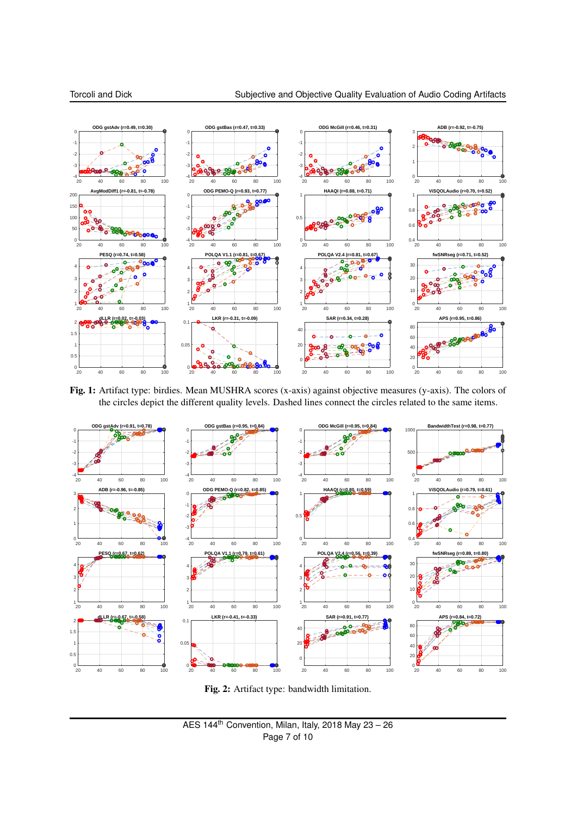

Fig. 1: Artifact type: birdies. Mean MUSHRA scores (x-axis) against objective measures (y-axis). The colors of the circles depict the different quality levels. Dashed lines connect the circles related to the same items.



Fig. 2: Artifact type: bandwidth limitation.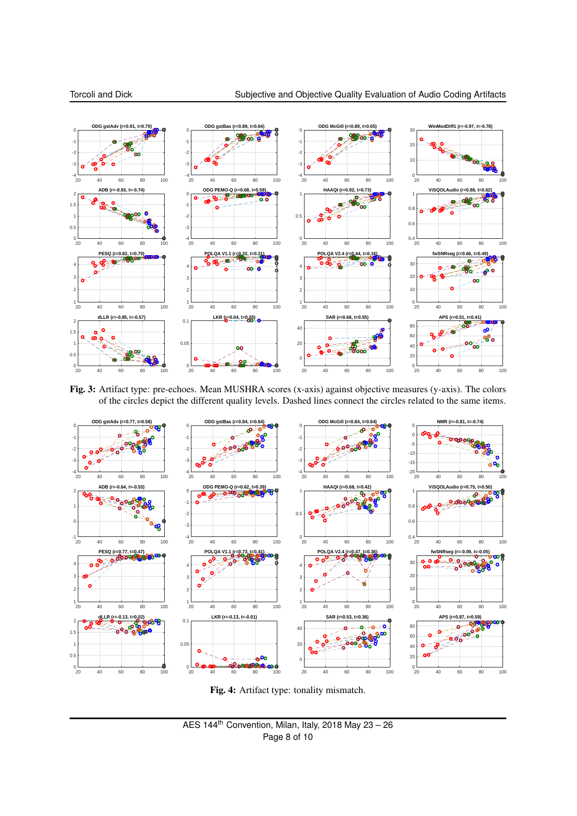

Fig. 3: Artifact type: pre-echoes. Mean MUSHRA scores (x-axis) against objective measures (y-axis). The colors of the circles depict the different quality levels. Dashed lines connect the circles related to the same items.



Fig. 4: Artifact type: tonality mismatch.

AES 144<sup>th</sup> Convention, Milan, Italy, 2018 May  $23 - 26$ Page 8 of 10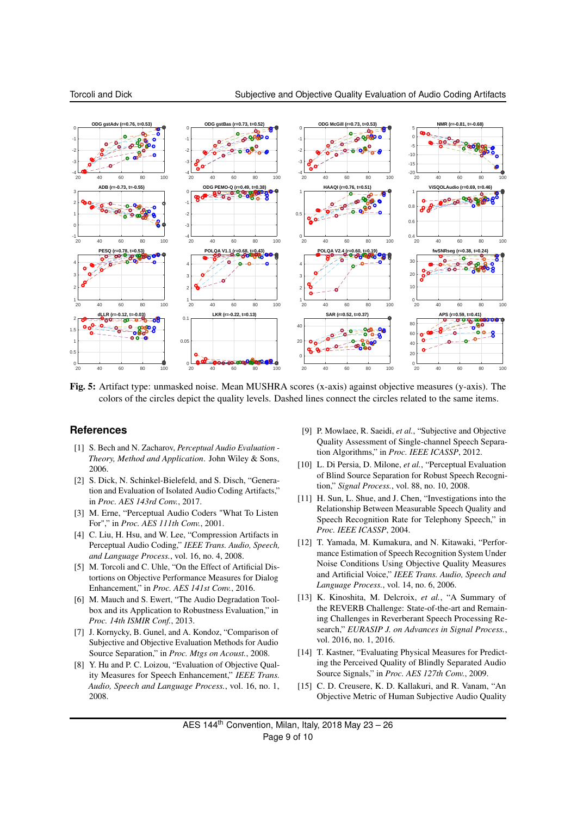

Fig. 5: Artifact type: unmasked noise. Mean MUSHRA scores (x-axis) against objective measures (y-axis). The colors of the circles depict the quality levels. Dashed lines connect the circles related to the same items.

#### **References**

- [1] S. Bech and N. Zacharov, *Perceptual Audio Evaluation - Theory, Method and Application*. John Wiley & Sons, 2006.
- [2] S. Dick, N. Schinkel-Bielefeld, and S. Disch, "Generation and Evaluation of Isolated Audio Coding Artifacts," in *Proc. AES 143rd Conv.*, 2017.
- [3] M. Erne, "Perceptual Audio Coders "What To Listen For"," in *Proc. AES 111th Conv.*, 2001.
- [4] C. Liu, H. Hsu, and W. Lee, "Compression Artifacts in Perceptual Audio Coding," *IEEE Trans. Audio, Speech, and Language Process.*, vol. 16, no. 4, 2008.
- [5] M. Torcoli and C. Uhle, "On the Effect of Artificial Distortions on Objective Performance Measures for Dialog Enhancement," in *Proc. AES 141st Conv.*, 2016.
- [6] M. Mauch and S. Ewert, "The Audio Degradation Toolbox and its Application to Robustness Evaluation," in *Proc. 14th ISMIR Conf.*, 2013.
- [7] J. Kornycky, B. Gunel, and A. Kondoz, "Comparison of Subjective and Objective Evaluation Methods for Audio Source Separation," in *Proc. Mtgs on Acoust.*, 2008.
- [8] Y. Hu and P. C. Loizou, "Evaluation of Objective Quality Measures for Speech Enhancement," *IEEE Trans. Audio, Speech and Language Process.*, vol. 16, no. 1, 2008.
- [9] P. Mowlaee, R. Saeidi, *et al.*, "Subjective and Objective Quality Assessment of Single-channel Speech Separation Algorithms," in *Proc. IEEE ICASSP*, 2012.
- [10] L. Di Persia, D. Milone, *et al.*, "Perceptual Evaluation of Blind Source Separation for Robust Speech Recognition," *Signal Process.*, vol. 88, no. 10, 2008.
- [11] H. Sun, L. Shue, and J. Chen, "Investigations into the Relationship Between Measurable Speech Quality and Speech Recognition Rate for Telephony Speech," in *Proc. IEEE ICASSP*, 2004.
- [12] T. Yamada, M. Kumakura, and N. Kitawaki, "Performance Estimation of Speech Recognition System Under Noise Conditions Using Objective Quality Measures and Artificial Voice," *IEEE Trans. Audio, Speech and Language Process.*, vol. 14, no. 6, 2006.
- [13] K. Kinoshita, M. Delcroix, *et al.*, "A Summary of the REVERB Challenge: State-of-the-art and Remaining Challenges in Reverberant Speech Processing Research," *EURASIP J. on Advances in Signal Process.*, vol. 2016, no. 1, 2016.
- [14] T. Kastner, "Evaluating Physical Measures for Predicting the Perceived Quality of Blindly Separated Audio Source Signals," in *Proc. AES 127th Conv.*, 2009.
- [15] C. D. Creusere, K. D. Kallakuri, and R. Vanam, "An Objective Metric of Human Subjective Audio Quality